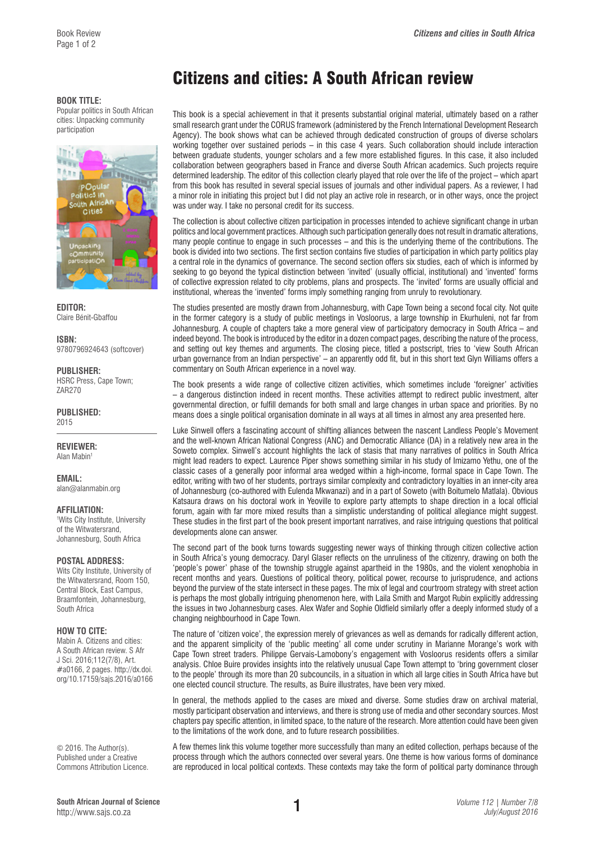## **BOOK TITLE:**

Popular politics in South African cities: Unpacking community participation



**EDITOR:**  Claire Bénit-Gbaffou

**ISBN:**  9780796924643 (softcover)

**PUBLISHER:** HSRC Press, Cape Town; ZAR270

**PUBLISHED:**  2015

**REVIEWER:**  Alan Mabin1

**EMAIL:** 

[alan@alanmabin.org](mailto:alan@alanmabin.org)

## **AFFILIATION:**

1 Wits City Institute, University of the Witwatersrand, Johannesburg, South Africa

**POSTAL ADDRESS:**  Wits City Institute, University of the Witwatersrand, Room 150, Central Block, East Campus,

Braamfontein, Johannesburg, South Africa

## **HOW TO CITE:**

Mabin A. Citizens and cities: A South African review. S Afr J Sci. 2016;112(7/8), Art. #a0166, 2 pages. [http://dx.doi.](http://dx.doi.org/10.17159/sajs.2016/a0166) [org/10.17159/sajs.2016/a0166](http://dx.doi.org/10.17159/sajs.2016/a0166)

© 2016. The Author(s). Published under a Creative Commons Attribution Licence.

## Citizens and cities: A South African review

This book is a special achievement in that it presents substantial original material, ultimately based on a rather small research grant under the CORUS framework (administered by the French International Development Research Agency). The book shows what can be achieved through dedicated construction of groups of diverse scholars working together over sustained periods – in this case 4 years. Such collaboration should include interaction between graduate students, younger scholars and a few more established figures. In this case, it also included collaboration between geographers based in France and diverse South African academics. Such projects require determined leadership. The editor of this collection clearly played that role over the life of the project – which apart from this book has resulted in several special issues of journals and other individual papers. As a reviewer, I had a minor role in initiating this project but I did not play an active role in research, or in other ways, once the project was under way. I take no personal credit for its success.

The collection is about collective citizen participation in processes intended to achieve significant change in urban politics and local government practices. Although such participation generally does not result in dramatic alterations, many people continue to engage in such processes – and this is the underlying theme of the contributions. The book is divided into two sections. The first section contains five studies of participation in which party politics play a central role in the dynamics of governance. The second section offers six studies, each of which is informed by seeking to go beyond the typical distinction between 'invited' (usually official, institutional) and 'invented' forms of collective expression related to city problems, plans and prospects. The 'invited' forms are usually official and institutional, whereas the 'invented' forms imply something ranging from unruly to revolutionary.

The studies presented are mostly drawn from Johannesburg, with Cape Town being a second focal city. Not quite in the former category is a study of public meetings in Vosloorus, a large township in Ekurhuleni, not far from Johannesburg. A couple of chapters take a more general view of participatory democracy in South Africa – and indeed beyond. The book is introduced by the editor in a dozen compact pages, describing the nature of the process, and setting out key themes and arguments. The closing piece, titled a postscript, tries to 'view South African urban governance from an Indian perspective' – an apparently odd fit, but in this short text Glyn Williams offers a commentary on South African experience in a novel way.

The book presents a wide range of collective citizen activities, which sometimes include 'foreigner' activities – a dangerous distinction indeed in recent months. These activities attempt to redirect public investment, alter governmental direction, or fulfill demands for both small and large changes in urban space and priorities. By no means does a single political organisation dominate in all ways at all times in almost any area presented here.

Luke Sinwell offers a fascinating account of shifting alliances between the nascent Landless People's Movement and the well-known African National Congress (ANC) and Democratic Alliance (DA) in a relatively new area in the Soweto complex. Sinwell's account highlights the lack of stasis that many narratives of politics in South Africa might lead readers to expect. Laurence Piper shows something similar in his study of Imizamo Yethu, one of the classic cases of a generally poor informal area wedged within a high-income, formal space in Cape Town. The editor, writing with two of her students, portrays similar complexity and contradictory loyalties in an inner-city area of Johannesburg (co-authored with Eulenda Mkwanazi) and in a part of Soweto (with Boitumelo Matlala). Obvious Katsaura draws on his doctoral work in Yeoville to explore party attempts to shape direction in a local official forum, again with far more mixed results than a simplistic understanding of political allegiance might suggest. These studies in the first part of the book present important narratives, and raise intriguing questions that political developments alone can answer.

The second part of the book turns towards suggesting newer ways of thinking through citizen collective action in South Africa's young democracy. Daryl Glaser reflects on the unruliness of the citizenry, drawing on both the 'people's power' phase of the township struggle against apartheid in the 1980s, and the violent xenophobia in recent months and years. Questions of political theory, political power, recourse to jurisprudence, and actions beyond the purview of the state intersect in these pages. The mix of legal and courtroom strategy with street action is perhaps the most globally intriguing phenomenon here, with Laila Smith and Margot Rubin explicitly addressing the issues in two Johannesburg cases. Alex Wafer and Sophie Oldfield similarly offer a deeply informed study of a changing neighbourhood in Cape Town.

The nature of 'citizen voice', the expression merely of grievances as well as demands for radically different action, and the apparent simplicity of the 'public meeting' all come under scrutiny in Marianne Morange's work with Cape Town street traders. Philippe Gervais-Lamobony's engagement with Vosloorus residents offers a similar analysis. Chloe Buire provides insights into the relatively unusual Cape Town attempt to 'bring government closer to the people' through its more than 20 subcouncils, in a situation in which all large cities in South Africa have but one elected council structure. The results, as Buire illustrates, have been very mixed.

In general, the methods applied to the cases are mixed and diverse. Some studies draw on archival material, mostly participant observation and interviews, and there is strong use of media and other secondary sources. Most chapters pay specific attention, in limited space, to the nature of the research. More attention could have been given to the limitations of the work done, and to future research possibilities.

A few themes link this volume together more successfully than many an edited collection, perhaps because of the process through which the authors connected over several years. One theme is how various forms of dominance are reproduced in local political contexts. These contexts may take the form of political party dominance through